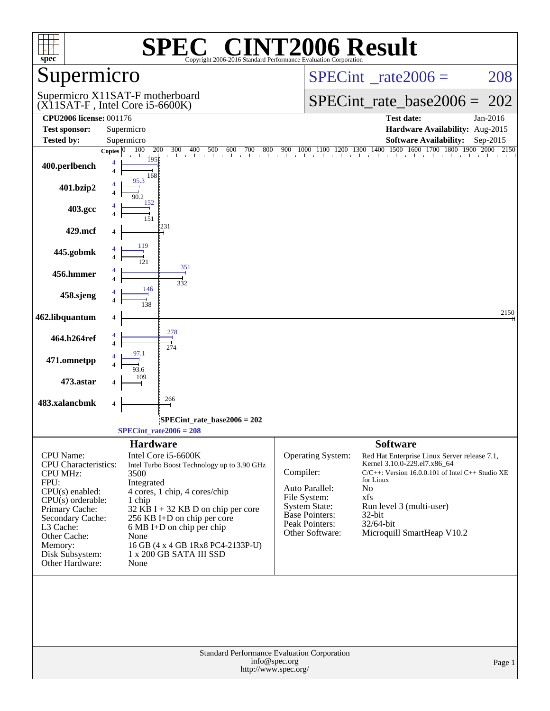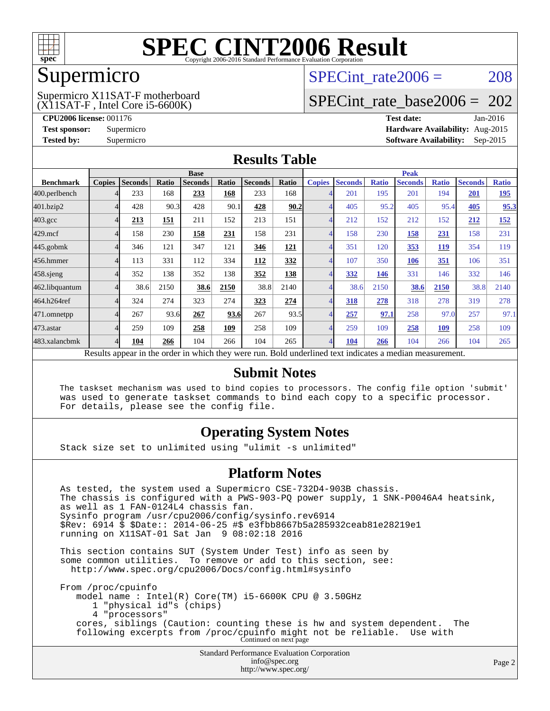

## Supermicro

(X11SAT-F , Intel Core i5-6600K) Supermicro X11SAT-F motherboard SPECint rate $2006 = 208$ 

# [SPECint\\_rate\\_base2006 =](http://www.spec.org/auto/cpu2006/Docs/result-fields.html#SPECintratebase2006) 202

**[CPU2006 license:](http://www.spec.org/auto/cpu2006/Docs/result-fields.html#CPU2006license)** 001176 **[Test date:](http://www.spec.org/auto/cpu2006/Docs/result-fields.html#Testdate)** Jan-2016 **[Test sponsor:](http://www.spec.org/auto/cpu2006/Docs/result-fields.html#Testsponsor)** Supermicro **[Hardware Availability:](http://www.spec.org/auto/cpu2006/Docs/result-fields.html#HardwareAvailability)** Aug-2015 **[Tested by:](http://www.spec.org/auto/cpu2006/Docs/result-fields.html#Testedby)** Supermicro **Supermicro [Software Availability:](http://www.spec.org/auto/cpu2006/Docs/result-fields.html#SoftwareAvailability)** Sep-2015

### **[Results Table](http://www.spec.org/auto/cpu2006/Docs/result-fields.html#ResultsTable)**

|                                                                                                          | <b>Base</b>   |                |       |                |            |                |            |                | <b>Peak</b>    |              |                |              |                |              |  |
|----------------------------------------------------------------------------------------------------------|---------------|----------------|-------|----------------|------------|----------------|------------|----------------|----------------|--------------|----------------|--------------|----------------|--------------|--|
| <b>Benchmark</b>                                                                                         | <b>Copies</b> | <b>Seconds</b> | Ratio | <b>Seconds</b> | Ratio      | <b>Seconds</b> | Ratio      | <b>Copies</b>  | <b>Seconds</b> | <b>Ratio</b> | <b>Seconds</b> | <b>Ratio</b> | <b>Seconds</b> | <b>Ratio</b> |  |
| 400.perlbench                                                                                            |               | 233            | 168   | 233            | 168        | 233            | 168        | 4              | 201            | 195          | 201            | 194          | 201            | <u>195</u>   |  |
| 401.bzip2                                                                                                |               | 428            | 90.3  | 428            | 90.1       | 428            | 90.2       | $\overline{A}$ | 405            | 95.2         | 405            | 95.4         | 405            | 95.3         |  |
| $403.\mathrm{gcc}$                                                                                       |               | 213            | 151   | 211            | 152        | 213            | 151        | $\overline{4}$ | 212            | 152          | 212            | 152          | 212            | <u>152</u>   |  |
| $429$ .mcf                                                                                               |               | 158            | 230   | 158            | 231        | 158            | 231        | 4              | 158            | 230          | 158            | 231          | 158            | 231          |  |
| $445$ .gobmk                                                                                             |               | 346            | 121   | 347            | 121        | 346            | <b>121</b> | $\overline{4}$ | 351            | 120          | 353            | <u>119</u>   | 354            | 119          |  |
| 456.hmmer                                                                                                |               | 113            | 331   | 112            | 334        | 112            | 332        | $\overline{4}$ | 107            | 350          | 106            | 351          | 106            | 351          |  |
| $458$ .sjeng                                                                                             |               | 352            | 138   | 352            | 138        | 352            | 138        | 4              | 332            | 146          | 331            | 146          | 332            | 146          |  |
| 462.libquantum                                                                                           |               | 38.6           | 2150  | 38.6           | 2150       | 38.8           | 2140       | 4              | 38.6           | 2150         | 38.6           | 2150         | 38.8           | 2140         |  |
| 464.h264ref                                                                                              |               | 324            | 274   | 323            | 274        | 323            | 274        | $\overline{4}$ | 318            | 278          | 318            | 278          | 319            | 278          |  |
| 471.omnetpp                                                                                              |               | 267            | 93.6  | 267            | 93.6       | 267            | 93.5       | 4              | 257            | 97.1         | 258            | 97.0         | 257            | 97.1         |  |
| 473.astar                                                                                                |               | 259            | 109   | 258            | <u>109</u> | 258            | 109        | $\overline{4}$ | 259            | 109          | 258            | <u>109</u>   | 258            | 109          |  |
| 483.xalancbmk                                                                                            |               | 104            | 266   | 104            | 266        | 104            | 265        | $\overline{4}$ | 104            | 266          | 104            | 266          | 104            | 265          |  |
| Results appear in the order in which they were run. Bold underlined text indicates a median measurement. |               |                |       |                |            |                |            |                |                |              |                |              |                |              |  |

#### **[Submit Notes](http://www.spec.org/auto/cpu2006/Docs/result-fields.html#SubmitNotes)**

 The taskset mechanism was used to bind copies to processors. The config file option 'submit' was used to generate taskset commands to bind each copy to a specific processor. For details, please see the config file.

### **[Operating System Notes](http://www.spec.org/auto/cpu2006/Docs/result-fields.html#OperatingSystemNotes)**

Stack size set to unlimited using "ulimit -s unlimited"

#### **[Platform Notes](http://www.spec.org/auto/cpu2006/Docs/result-fields.html#PlatformNotes)**

Standard Performance Evaluation Corporation As tested, the system used a Supermicro CSE-732D4-903B chassis. The chassis is configured with a PWS-903-PQ power supply, 1 SNK-P0046A4 heatsink, as well as 1 FAN-0124L4 chassis fan. Sysinfo program /usr/cpu2006/config/sysinfo.rev6914 \$Rev: 6914 \$ \$Date:: 2014-06-25 #\$ e3fbb8667b5a285932ceab81e28219e1 running on X11SAT-01 Sat Jan 9 08:02:18 2016 This section contains SUT (System Under Test) info as seen by some common utilities. To remove or add to this section, see: <http://www.spec.org/cpu2006/Docs/config.html#sysinfo> From /proc/cpuinfo model name : Intel(R) Core(TM) i5-6600K CPU @ 3.50GHz 1 "physical id"s (chips) 4 "processors" cores, siblings (Caution: counting these is hw and system dependent. The following excerpts from /proc/cpuinfo might not be reliable. Use with Continued on next page

[info@spec.org](mailto:info@spec.org) <http://www.spec.org/>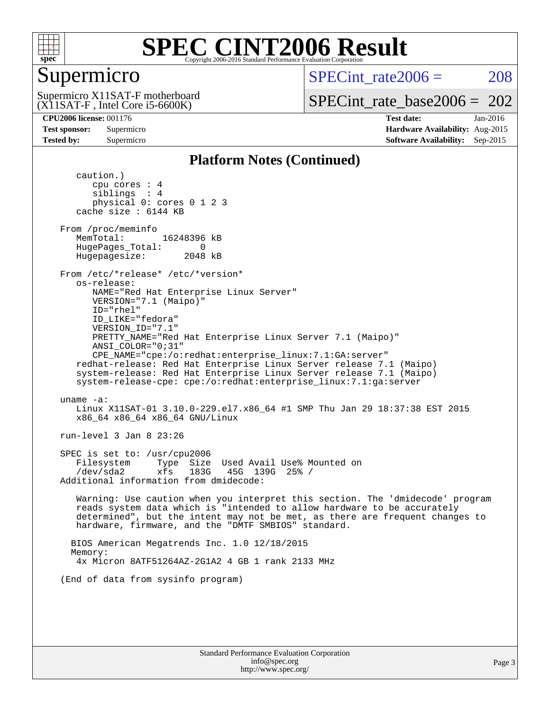

# Supermicro

SPECint rate $2006 = 208$ 

(X11SAT-F , Intel Core i5-6600K) Supermicro X11SAT-F motherboard

[SPECint\\_rate\\_base2006 =](http://www.spec.org/auto/cpu2006/Docs/result-fields.html#SPECintratebase2006) 202

**[CPU2006 license:](http://www.spec.org/auto/cpu2006/Docs/result-fields.html#CPU2006license)** 001176 **[Test date:](http://www.spec.org/auto/cpu2006/Docs/result-fields.html#Testdate)** Jan-2016 **[Test sponsor:](http://www.spec.org/auto/cpu2006/Docs/result-fields.html#Testsponsor)** Supermicro **[Hardware Availability:](http://www.spec.org/auto/cpu2006/Docs/result-fields.html#HardwareAvailability)** Aug-2015 **[Tested by:](http://www.spec.org/auto/cpu2006/Docs/result-fields.html#Testedby)** Supermicro **Supermicro [Software Availability:](http://www.spec.org/auto/cpu2006/Docs/result-fields.html#SoftwareAvailability)** Sep-2015

### **[Platform Notes \(Continued\)](http://www.spec.org/auto/cpu2006/Docs/result-fields.html#PlatformNotes)**

 caution.) cpu cores : 4 siblings : 4 physical 0: cores 0 1 2 3 cache size : 6144 KB From /proc/meminfo MemTotal: 16248396 kB HugePages\_Total: 0<br>Hugepagesize: 2048 kB Hugepagesize: From /etc/\*release\* /etc/\*version\* os-release: NAME="Red Hat Enterprise Linux Server" VERSION="7.1 (Maipo)" ID="rhel" ID\_LIKE="fedora" VERSION\_ID="7.1" PRETTY\_NAME="Red Hat Enterprise Linux Server 7.1 (Maipo)" ANSI\_COLOR="0;31" CPE\_NAME="cpe:/o:redhat:enterprise\_linux:7.1:GA:server" redhat-release: Red Hat Enterprise Linux Server release 7.1 (Maipo) system-release: Red Hat Enterprise Linux Server release 7.1 (Maipo) system-release-cpe: cpe:/o:redhat:enterprise\_linux:7.1:ga:server uname -a: Linux X11SAT-01 3.10.0-229.el7.x86\_64 #1 SMP Thu Jan 29 18:37:38 EST 2015 x86\_64 x86\_64 x86\_64 GNU/Linux run-level 3 Jan 8 23:26 SPEC is set to: /usr/cpu2006 Filesystem Type Size Used Avail Use% Mounted on /dev/sda2 xfs 183G 45G 139G 25% / Additional information from dmidecode: Warning: Use caution when you interpret this section. The 'dmidecode' program reads system data which is "intended to allow hardware to be accurately determined", but the intent may not be met, as there are frequent changes to hardware, firmware, and the "DMTF SMBIOS" standard. BIOS American Megatrends Inc. 1.0 12/18/2015 Memory: 4x Micron 8ATF51264AZ-2G1A2 4 GB 1 rank 2133 MHz (End of data from sysinfo program)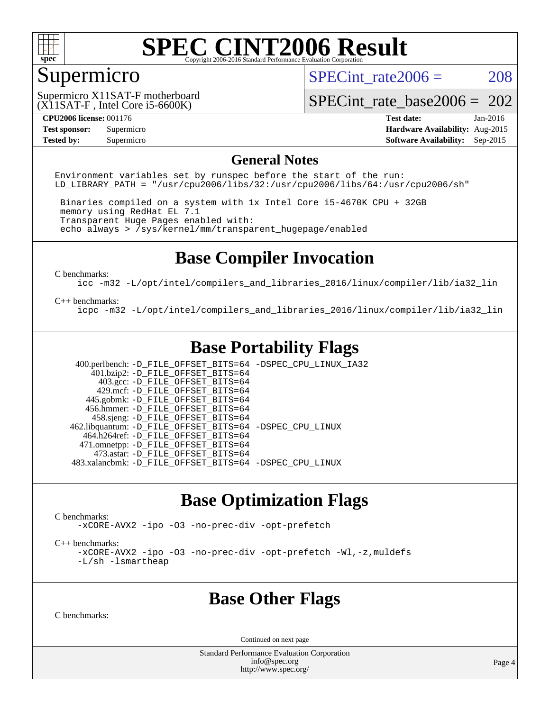

# Supermicro

SPECint rate $2006 = 208$ 

(X11SAT-F , Intel Core i5-6600K) Supermicro X11SAT-F motherboard

[SPECint\\_rate\\_base2006 =](http://www.spec.org/auto/cpu2006/Docs/result-fields.html#SPECintratebase2006) 202

**[CPU2006 license:](http://www.spec.org/auto/cpu2006/Docs/result-fields.html#CPU2006license)** 001176 **[Test date:](http://www.spec.org/auto/cpu2006/Docs/result-fields.html#Testdate)** Jan-2016 **[Test sponsor:](http://www.spec.org/auto/cpu2006/Docs/result-fields.html#Testsponsor)** Supermicro **[Hardware Availability:](http://www.spec.org/auto/cpu2006/Docs/result-fields.html#HardwareAvailability)** Aug-2015 **[Tested by:](http://www.spec.org/auto/cpu2006/Docs/result-fields.html#Testedby)** Supermicro **Supermicro [Software Availability:](http://www.spec.org/auto/cpu2006/Docs/result-fields.html#SoftwareAvailability)** Sep-2015

#### **[General Notes](http://www.spec.org/auto/cpu2006/Docs/result-fields.html#GeneralNotes)**

Environment variables set by runspec before the start of the run: LD LIBRARY PATH = "/usr/cpu2006/libs/32:/usr/cpu2006/libs/64:/usr/cpu2006/sh"

 Binaries compiled on a system with 1x Intel Core i5-4670K CPU + 32GB memory using RedHat EL 7.1 Transparent Huge Pages enabled with: echo always > /sys/kernel/mm/transparent\_hugepage/enabled

## **[Base Compiler Invocation](http://www.spec.org/auto/cpu2006/Docs/result-fields.html#BaseCompilerInvocation)**

[C benchmarks](http://www.spec.org/auto/cpu2006/Docs/result-fields.html#Cbenchmarks):

[icc -m32 -L/opt/intel/compilers\\_and\\_libraries\\_2016/linux/compiler/lib/ia32\\_lin](http://www.spec.org/cpu2006/results/res2016q1/cpu2006-20160111-38645.flags.html#user_CCbase_intel_icc_e10256ba5924b668798078a321b0cb3f)

#### [C++ benchmarks:](http://www.spec.org/auto/cpu2006/Docs/result-fields.html#CXXbenchmarks)

[icpc -m32 -L/opt/intel/compilers\\_and\\_libraries\\_2016/linux/compiler/lib/ia32\\_lin](http://www.spec.org/cpu2006/results/res2016q1/cpu2006-20160111-38645.flags.html#user_CXXbase_intel_icpc_b4f50a394bdb4597aa5879c16bc3f5c5)

# **[Base Portability Flags](http://www.spec.org/auto/cpu2006/Docs/result-fields.html#BasePortabilityFlags)**

 400.perlbench: [-D\\_FILE\\_OFFSET\\_BITS=64](http://www.spec.org/cpu2006/results/res2016q1/cpu2006-20160111-38645.flags.html#user_basePORTABILITY400_perlbench_file_offset_bits_64_438cf9856305ebd76870a2c6dc2689ab) [-DSPEC\\_CPU\\_LINUX\\_IA32](http://www.spec.org/cpu2006/results/res2016q1/cpu2006-20160111-38645.flags.html#b400.perlbench_baseCPORTABILITY_DSPEC_CPU_LINUX_IA32)  $401.bzip2: -D$ FILE\_OFFSET\_BITS=64 403.gcc: [-D\\_FILE\\_OFFSET\\_BITS=64](http://www.spec.org/cpu2006/results/res2016q1/cpu2006-20160111-38645.flags.html#user_basePORTABILITY403_gcc_file_offset_bits_64_438cf9856305ebd76870a2c6dc2689ab) 429.mcf: [-D\\_FILE\\_OFFSET\\_BITS=64](http://www.spec.org/cpu2006/results/res2016q1/cpu2006-20160111-38645.flags.html#user_basePORTABILITY429_mcf_file_offset_bits_64_438cf9856305ebd76870a2c6dc2689ab) 445.gobmk: [-D\\_FILE\\_OFFSET\\_BITS=64](http://www.spec.org/cpu2006/results/res2016q1/cpu2006-20160111-38645.flags.html#user_basePORTABILITY445_gobmk_file_offset_bits_64_438cf9856305ebd76870a2c6dc2689ab) 456.hmmer: [-D\\_FILE\\_OFFSET\\_BITS=64](http://www.spec.org/cpu2006/results/res2016q1/cpu2006-20160111-38645.flags.html#user_basePORTABILITY456_hmmer_file_offset_bits_64_438cf9856305ebd76870a2c6dc2689ab) 458.sjeng: [-D\\_FILE\\_OFFSET\\_BITS=64](http://www.spec.org/cpu2006/results/res2016q1/cpu2006-20160111-38645.flags.html#user_basePORTABILITY458_sjeng_file_offset_bits_64_438cf9856305ebd76870a2c6dc2689ab) 462.libquantum: [-D\\_FILE\\_OFFSET\\_BITS=64](http://www.spec.org/cpu2006/results/res2016q1/cpu2006-20160111-38645.flags.html#user_basePORTABILITY462_libquantum_file_offset_bits_64_438cf9856305ebd76870a2c6dc2689ab) [-DSPEC\\_CPU\\_LINUX](http://www.spec.org/cpu2006/results/res2016q1/cpu2006-20160111-38645.flags.html#b462.libquantum_baseCPORTABILITY_DSPEC_CPU_LINUX) 464.h264ref: [-D\\_FILE\\_OFFSET\\_BITS=64](http://www.spec.org/cpu2006/results/res2016q1/cpu2006-20160111-38645.flags.html#user_basePORTABILITY464_h264ref_file_offset_bits_64_438cf9856305ebd76870a2c6dc2689ab) 471.omnetpp: [-D\\_FILE\\_OFFSET\\_BITS=64](http://www.spec.org/cpu2006/results/res2016q1/cpu2006-20160111-38645.flags.html#user_basePORTABILITY471_omnetpp_file_offset_bits_64_438cf9856305ebd76870a2c6dc2689ab) 473.astar: [-D\\_FILE\\_OFFSET\\_BITS=64](http://www.spec.org/cpu2006/results/res2016q1/cpu2006-20160111-38645.flags.html#user_basePORTABILITY473_astar_file_offset_bits_64_438cf9856305ebd76870a2c6dc2689ab) 483.xalancbmk: [-D\\_FILE\\_OFFSET\\_BITS=64](http://www.spec.org/cpu2006/results/res2016q1/cpu2006-20160111-38645.flags.html#user_basePORTABILITY483_xalancbmk_file_offset_bits_64_438cf9856305ebd76870a2c6dc2689ab) [-DSPEC\\_CPU\\_LINUX](http://www.spec.org/cpu2006/results/res2016q1/cpu2006-20160111-38645.flags.html#b483.xalancbmk_baseCXXPORTABILITY_DSPEC_CPU_LINUX)

### **[Base Optimization Flags](http://www.spec.org/auto/cpu2006/Docs/result-fields.html#BaseOptimizationFlags)**

[C benchmarks](http://www.spec.org/auto/cpu2006/Docs/result-fields.html#Cbenchmarks):

[-xCORE-AVX2](http://www.spec.org/cpu2006/results/res2016q1/cpu2006-20160111-38645.flags.html#user_CCbase_f-xAVX2_5f5fc0cbe2c9f62c816d3e45806c70d7) [-ipo](http://www.spec.org/cpu2006/results/res2016q1/cpu2006-20160111-38645.flags.html#user_CCbase_f-ipo) [-O3](http://www.spec.org/cpu2006/results/res2016q1/cpu2006-20160111-38645.flags.html#user_CCbase_f-O3) [-no-prec-div](http://www.spec.org/cpu2006/results/res2016q1/cpu2006-20160111-38645.flags.html#user_CCbase_f-no-prec-div) [-opt-prefetch](http://www.spec.org/cpu2006/results/res2016q1/cpu2006-20160111-38645.flags.html#user_CCbase_f-opt-prefetch)

[C++ benchmarks:](http://www.spec.org/auto/cpu2006/Docs/result-fields.html#CXXbenchmarks)

[-xCORE-AVX2](http://www.spec.org/cpu2006/results/res2016q1/cpu2006-20160111-38645.flags.html#user_CXXbase_f-xAVX2_5f5fc0cbe2c9f62c816d3e45806c70d7) [-ipo](http://www.spec.org/cpu2006/results/res2016q1/cpu2006-20160111-38645.flags.html#user_CXXbase_f-ipo) [-O3](http://www.spec.org/cpu2006/results/res2016q1/cpu2006-20160111-38645.flags.html#user_CXXbase_f-O3) [-no-prec-div](http://www.spec.org/cpu2006/results/res2016q1/cpu2006-20160111-38645.flags.html#user_CXXbase_f-no-prec-div) [-opt-prefetch](http://www.spec.org/cpu2006/results/res2016q1/cpu2006-20160111-38645.flags.html#user_CXXbase_f-opt-prefetch) [-Wl,-z,muldefs](http://www.spec.org/cpu2006/results/res2016q1/cpu2006-20160111-38645.flags.html#user_CXXbase_link_force_multiple1_74079c344b956b9658436fd1b6dd3a8a) [-L/sh -lsmartheap](http://www.spec.org/cpu2006/results/res2016q1/cpu2006-20160111-38645.flags.html#user_CXXbase_SmartHeap_32f6c82aa1ed9c52345d30cf6e4a0499)

### **[Base Other Flags](http://www.spec.org/auto/cpu2006/Docs/result-fields.html#BaseOtherFlags)**

[C benchmarks](http://www.spec.org/auto/cpu2006/Docs/result-fields.html#Cbenchmarks):

Continued on next page

Standard Performance Evaluation Corporation [info@spec.org](mailto:info@spec.org) <http://www.spec.org/>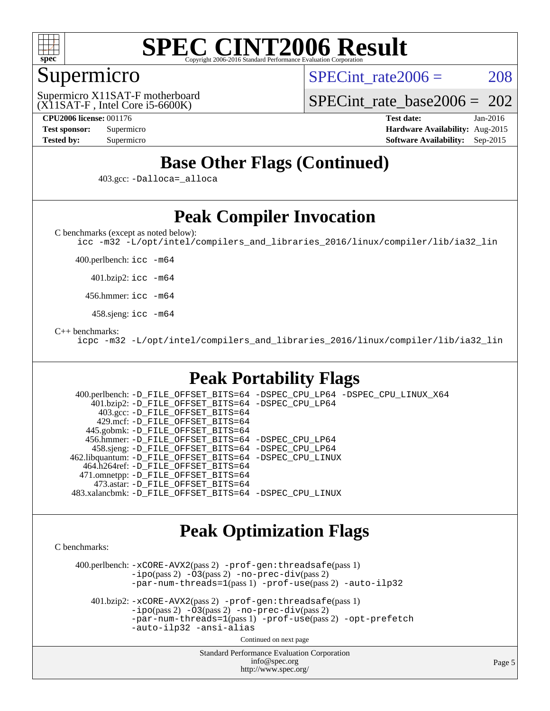

## Supermicro

SPECint rate $2006 = 208$ 

(X11SAT-F , Intel Core i5-6600K) Supermicro X11SAT-F motherboard

[SPECint\\_rate\\_base2006 =](http://www.spec.org/auto/cpu2006/Docs/result-fields.html#SPECintratebase2006) 202

**[CPU2006 license:](http://www.spec.org/auto/cpu2006/Docs/result-fields.html#CPU2006license)** 001176 **[Test date:](http://www.spec.org/auto/cpu2006/Docs/result-fields.html#Testdate)** Jan-2016 **[Test sponsor:](http://www.spec.org/auto/cpu2006/Docs/result-fields.html#Testsponsor)** Supermicro **[Hardware Availability:](http://www.spec.org/auto/cpu2006/Docs/result-fields.html#HardwareAvailability)** Aug-2015 **[Tested by:](http://www.spec.org/auto/cpu2006/Docs/result-fields.html#Testedby)** Supermicro **[Software Availability:](http://www.spec.org/auto/cpu2006/Docs/result-fields.html#SoftwareAvailability)** Sep-2015

# **[Base Other Flags \(Continued\)](http://www.spec.org/auto/cpu2006/Docs/result-fields.html#BaseOtherFlags)**

403.gcc: [-Dalloca=\\_alloca](http://www.spec.org/cpu2006/results/res2016q1/cpu2006-20160111-38645.flags.html#b403.gcc_baseEXTRA_CFLAGS_Dalloca_be3056838c12de2578596ca5467af7f3)

# **[Peak Compiler Invocation](http://www.spec.org/auto/cpu2006/Docs/result-fields.html#PeakCompilerInvocation)**

[C benchmarks \(except as noted below\)](http://www.spec.org/auto/cpu2006/Docs/result-fields.html#Cbenchmarksexceptasnotedbelow):

[icc -m32 -L/opt/intel/compilers\\_and\\_libraries\\_2016/linux/compiler/lib/ia32\\_lin](http://www.spec.org/cpu2006/results/res2016q1/cpu2006-20160111-38645.flags.html#user_CCpeak_intel_icc_e10256ba5924b668798078a321b0cb3f)

400.perlbench: [icc -m64](http://www.spec.org/cpu2006/results/res2016q1/cpu2006-20160111-38645.flags.html#user_peakCCLD400_perlbench_intel_icc_64bit_bda6cc9af1fdbb0edc3795bac97ada53)

401.bzip2: [icc -m64](http://www.spec.org/cpu2006/results/res2016q1/cpu2006-20160111-38645.flags.html#user_peakCCLD401_bzip2_intel_icc_64bit_bda6cc9af1fdbb0edc3795bac97ada53)

456.hmmer: [icc -m64](http://www.spec.org/cpu2006/results/res2016q1/cpu2006-20160111-38645.flags.html#user_peakCCLD456_hmmer_intel_icc_64bit_bda6cc9af1fdbb0edc3795bac97ada53)

458.sjeng: [icc -m64](http://www.spec.org/cpu2006/results/res2016q1/cpu2006-20160111-38645.flags.html#user_peakCCLD458_sjeng_intel_icc_64bit_bda6cc9af1fdbb0edc3795bac97ada53)

#### [C++ benchmarks:](http://www.spec.org/auto/cpu2006/Docs/result-fields.html#CXXbenchmarks)

[icpc -m32 -L/opt/intel/compilers\\_and\\_libraries\\_2016/linux/compiler/lib/ia32\\_lin](http://www.spec.org/cpu2006/results/res2016q1/cpu2006-20160111-38645.flags.html#user_CXXpeak_intel_icpc_b4f50a394bdb4597aa5879c16bc3f5c5)

# **[Peak Portability Flags](http://www.spec.org/auto/cpu2006/Docs/result-fields.html#PeakPortabilityFlags)**

 400.perlbench: [-D\\_FILE\\_OFFSET\\_BITS=64](http://www.spec.org/cpu2006/results/res2016q1/cpu2006-20160111-38645.flags.html#user_peakPORTABILITY400_perlbench_file_offset_bits_64_438cf9856305ebd76870a2c6dc2689ab) [-DSPEC\\_CPU\\_LP64](http://www.spec.org/cpu2006/results/res2016q1/cpu2006-20160111-38645.flags.html#b400.perlbench_peakCPORTABILITY_DSPEC_CPU_LP64) [-DSPEC\\_CPU\\_LINUX\\_X64](http://www.spec.org/cpu2006/results/res2016q1/cpu2006-20160111-38645.flags.html#b400.perlbench_peakCPORTABILITY_DSPEC_CPU_LINUX_X64) 401.bzip2: [-D\\_FILE\\_OFFSET\\_BITS=64](http://www.spec.org/cpu2006/results/res2016q1/cpu2006-20160111-38645.flags.html#user_peakPORTABILITY401_bzip2_file_offset_bits_64_438cf9856305ebd76870a2c6dc2689ab) [-DSPEC\\_CPU\\_LP64](http://www.spec.org/cpu2006/results/res2016q1/cpu2006-20160111-38645.flags.html#suite_peakCPORTABILITY401_bzip2_DSPEC_CPU_LP64) 403.gcc: [-D\\_FILE\\_OFFSET\\_BITS=64](http://www.spec.org/cpu2006/results/res2016q1/cpu2006-20160111-38645.flags.html#user_peakPORTABILITY403_gcc_file_offset_bits_64_438cf9856305ebd76870a2c6dc2689ab) 429.mcf: [-D\\_FILE\\_OFFSET\\_BITS=64](http://www.spec.org/cpu2006/results/res2016q1/cpu2006-20160111-38645.flags.html#user_peakPORTABILITY429_mcf_file_offset_bits_64_438cf9856305ebd76870a2c6dc2689ab) 445.gobmk: [-D\\_FILE\\_OFFSET\\_BITS=64](http://www.spec.org/cpu2006/results/res2016q1/cpu2006-20160111-38645.flags.html#user_peakPORTABILITY445_gobmk_file_offset_bits_64_438cf9856305ebd76870a2c6dc2689ab) 456.hmmer: [-D\\_FILE\\_OFFSET\\_BITS=64](http://www.spec.org/cpu2006/results/res2016q1/cpu2006-20160111-38645.flags.html#user_peakPORTABILITY456_hmmer_file_offset_bits_64_438cf9856305ebd76870a2c6dc2689ab) [-DSPEC\\_CPU\\_LP64](http://www.spec.org/cpu2006/results/res2016q1/cpu2006-20160111-38645.flags.html#suite_peakCPORTABILITY456_hmmer_DSPEC_CPU_LP64) 458.sjeng: [-D\\_FILE\\_OFFSET\\_BITS=64](http://www.spec.org/cpu2006/results/res2016q1/cpu2006-20160111-38645.flags.html#user_peakPORTABILITY458_sjeng_file_offset_bits_64_438cf9856305ebd76870a2c6dc2689ab) [-DSPEC\\_CPU\\_LP64](http://www.spec.org/cpu2006/results/res2016q1/cpu2006-20160111-38645.flags.html#suite_peakCPORTABILITY458_sjeng_DSPEC_CPU_LP64) 462.libquantum: [-D\\_FILE\\_OFFSET\\_BITS=64](http://www.spec.org/cpu2006/results/res2016q1/cpu2006-20160111-38645.flags.html#user_peakPORTABILITY462_libquantum_file_offset_bits_64_438cf9856305ebd76870a2c6dc2689ab) [-DSPEC\\_CPU\\_LINUX](http://www.spec.org/cpu2006/results/res2016q1/cpu2006-20160111-38645.flags.html#b462.libquantum_peakCPORTABILITY_DSPEC_CPU_LINUX) 464.h264ref: [-D\\_FILE\\_OFFSET\\_BITS=64](http://www.spec.org/cpu2006/results/res2016q1/cpu2006-20160111-38645.flags.html#user_peakPORTABILITY464_h264ref_file_offset_bits_64_438cf9856305ebd76870a2c6dc2689ab) 471.omnetpp: [-D\\_FILE\\_OFFSET\\_BITS=64](http://www.spec.org/cpu2006/results/res2016q1/cpu2006-20160111-38645.flags.html#user_peakPORTABILITY471_omnetpp_file_offset_bits_64_438cf9856305ebd76870a2c6dc2689ab) 473.astar: [-D\\_FILE\\_OFFSET\\_BITS=64](http://www.spec.org/cpu2006/results/res2016q1/cpu2006-20160111-38645.flags.html#user_peakPORTABILITY473_astar_file_offset_bits_64_438cf9856305ebd76870a2c6dc2689ab) 483.xalancbmk: [-D\\_FILE\\_OFFSET\\_BITS=64](http://www.spec.org/cpu2006/results/res2016q1/cpu2006-20160111-38645.flags.html#user_peakPORTABILITY483_xalancbmk_file_offset_bits_64_438cf9856305ebd76870a2c6dc2689ab) [-DSPEC\\_CPU\\_LINUX](http://www.spec.org/cpu2006/results/res2016q1/cpu2006-20160111-38645.flags.html#b483.xalancbmk_peakCXXPORTABILITY_DSPEC_CPU_LINUX)

### **[Peak Optimization Flags](http://www.spec.org/auto/cpu2006/Docs/result-fields.html#PeakOptimizationFlags)**

[C benchmarks](http://www.spec.org/auto/cpu2006/Docs/result-fields.html#Cbenchmarks):

 400.perlbench: [-xCORE-AVX2](http://www.spec.org/cpu2006/results/res2016q1/cpu2006-20160111-38645.flags.html#user_peakPASS2_CFLAGSPASS2_LDCFLAGS400_perlbench_f-xAVX2_5f5fc0cbe2c9f62c816d3e45806c70d7)(pass 2) [-prof-gen:threadsafe](http://www.spec.org/cpu2006/results/res2016q1/cpu2006-20160111-38645.flags.html#user_peakPASS1_CFLAGSPASS1_LDCFLAGS400_perlbench_prof_gen_21a26eb79f378b550acd7bec9fe4467a)(pass 1)  $-i\text{po}(pass 2) -\tilde{O}3(pass 2)$  [-no-prec-div](http://www.spec.org/cpu2006/results/res2016q1/cpu2006-20160111-38645.flags.html#user_peakPASS2_CFLAGSPASS2_LDCFLAGS400_perlbench_f-no-prec-div)(pass 2) [-par-num-threads=1](http://www.spec.org/cpu2006/results/res2016q1/cpu2006-20160111-38645.flags.html#user_peakPASS1_CFLAGSPASS1_LDCFLAGS400_perlbench_par_num_threads_786a6ff141b4e9e90432e998842df6c2)(pass 1) [-prof-use](http://www.spec.org/cpu2006/results/res2016q1/cpu2006-20160111-38645.flags.html#user_peakPASS2_CFLAGSPASS2_LDCFLAGS400_perlbench_prof_use_bccf7792157ff70d64e32fe3e1250b55)(pass 2) [-auto-ilp32](http://www.spec.org/cpu2006/results/res2016q1/cpu2006-20160111-38645.flags.html#user_peakCOPTIMIZE400_perlbench_f-auto-ilp32)

 401.bzip2: [-xCORE-AVX2](http://www.spec.org/cpu2006/results/res2016q1/cpu2006-20160111-38645.flags.html#user_peakPASS2_CFLAGSPASS2_LDCFLAGS401_bzip2_f-xAVX2_5f5fc0cbe2c9f62c816d3e45806c70d7)(pass 2) [-prof-gen:threadsafe](http://www.spec.org/cpu2006/results/res2016q1/cpu2006-20160111-38645.flags.html#user_peakPASS1_CFLAGSPASS1_LDCFLAGS401_bzip2_prof_gen_21a26eb79f378b550acd7bec9fe4467a)(pass 1)  $-i\text{po}(pass 2) -\overline{O}3(pass 2)$  [-no-prec-div](http://www.spec.org/cpu2006/results/res2016q1/cpu2006-20160111-38645.flags.html#user_peakPASS2_CFLAGSPASS2_LDCFLAGS401_bzip2_f-no-prec-div)(pass 2) [-par-num-threads=1](http://www.spec.org/cpu2006/results/res2016q1/cpu2006-20160111-38645.flags.html#user_peakPASS1_CFLAGSPASS1_LDCFLAGS401_bzip2_par_num_threads_786a6ff141b4e9e90432e998842df6c2)(pass 1) [-prof-use](http://www.spec.org/cpu2006/results/res2016q1/cpu2006-20160111-38645.flags.html#user_peakPASS2_CFLAGSPASS2_LDCFLAGS401_bzip2_prof_use_bccf7792157ff70d64e32fe3e1250b55)(pass 2) [-opt-prefetch](http://www.spec.org/cpu2006/results/res2016q1/cpu2006-20160111-38645.flags.html#user_peakCOPTIMIZE401_bzip2_f-opt-prefetch) [-auto-ilp32](http://www.spec.org/cpu2006/results/res2016q1/cpu2006-20160111-38645.flags.html#user_peakCOPTIMIZE401_bzip2_f-auto-ilp32) [-ansi-alias](http://www.spec.org/cpu2006/results/res2016q1/cpu2006-20160111-38645.flags.html#user_peakCOPTIMIZE401_bzip2_f-ansi-alias)

Continued on next page

Standard Performance Evaluation Corporation [info@spec.org](mailto:info@spec.org) <http://www.spec.org/>

Page 5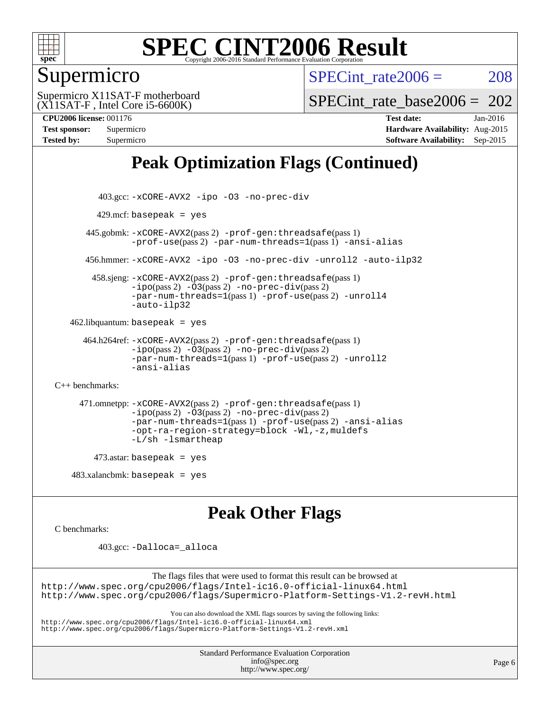

## Supermicro

SPECint rate $2006 = 208$ 

(X11SAT-F , Intel Core i5-6600K) Supermicro X11SAT-F motherboard SPECint rate base2006 =  $202$ 

**[CPU2006 license:](http://www.spec.org/auto/cpu2006/Docs/result-fields.html#CPU2006license)** 001176 **[Test date:](http://www.spec.org/auto/cpu2006/Docs/result-fields.html#Testdate)** Jan-2016

**[Test sponsor:](http://www.spec.org/auto/cpu2006/Docs/result-fields.html#Testsponsor)** Supermicro **[Hardware Availability:](http://www.spec.org/auto/cpu2006/Docs/result-fields.html#HardwareAvailability)** Aug-2015 **[Tested by:](http://www.spec.org/auto/cpu2006/Docs/result-fields.html#Testedby)** Supermicro **[Software Availability:](http://www.spec.org/auto/cpu2006/Docs/result-fields.html#SoftwareAvailability)** Sep-2015

# **[Peak Optimization Flags \(Continued\)](http://www.spec.org/auto/cpu2006/Docs/result-fields.html#PeakOptimizationFlags)**

```
 403.gcc: -xCORE-AVX2 -ipo -O3 -no-prec-div
         429.mcf: basepeak = yes
       445.gobmk: -xCORE-AVX2(pass 2) -prof-gen:threadsafe(pass 1)
                -prof-use(pass 2) -par-num-threads=1(pass 1) -ansi-alias
       456.hmmer: -xCORE-AVX2 -ipo -O3 -no-prec-div -unroll2 -auto-ilp32
         458.sjeng: -xCORE-AVX2(pass 2) -prof-gen:threadsafe(pass 1)
                -i\text{po}(pass 2) -\ddot{o}3(pass 2)-no-prec-div(pass 2)
                -par-num-threads=1(pass 1) -prof-use(pass 2) -unroll4
                -auto-ilp32
   462.libquantum: basepeak = yes
       464.h264ref: -xCORE-AVX2(pass 2) -prof-gen:threadsafe(pass 1)
                -ipo(pass 2) -O3(pass 2) -no-prec-div(pass 2)
                -par-num-threads=1(pass 1) -prof-use(pass 2) -unroll2
                -ansi-alias
C++ benchmarks: 
      471.omnetpp: -xCORE-AVX2(pass 2) -prof-gen:threadsafe(pass 1)
                -ipo(pass 2) -O3(pass 2) -no-prec-div(pass 2)
                -par-num-threads=1(pass 1) -prof-use(pass 2) -ansi-alias
                -opt-ra-region-strategy=block -Wl,-z,muldefs
                -L/sh -lsmartheap
         473.astar: basepeak = yes
   483.xalanchmk: basepeak = yes
```
**[Peak Other Flags](http://www.spec.org/auto/cpu2006/Docs/result-fields.html#PeakOtherFlags)**

[C benchmarks](http://www.spec.org/auto/cpu2006/Docs/result-fields.html#Cbenchmarks):

403.gcc: [-Dalloca=\\_alloca](http://www.spec.org/cpu2006/results/res2016q1/cpu2006-20160111-38645.flags.html#b403.gcc_peakEXTRA_CFLAGS_Dalloca_be3056838c12de2578596ca5467af7f3)

The flags files that were used to format this result can be browsed at <http://www.spec.org/cpu2006/flags/Intel-ic16.0-official-linux64.html> <http://www.spec.org/cpu2006/flags/Supermicro-Platform-Settings-V1.2-revH.html>

You can also download the XML flags sources by saving the following links:

<http://www.spec.org/cpu2006/flags/Intel-ic16.0-official-linux64.xml>

<http://www.spec.org/cpu2006/flags/Supermicro-Platform-Settings-V1.2-revH.xml>

Standard Performance Evaluation Corporation [info@spec.org](mailto:info@spec.org) <http://www.spec.org/>

Page 6